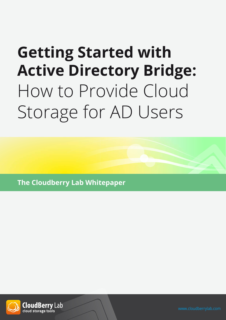# **Getting Started with Active Directory Bridge:** How to Provide Cloud Storage for AD Users

**The Cloudberry Lab Whitepaper**

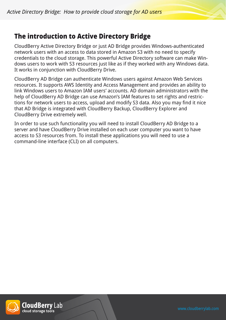# **The introduction to Active Directory Bridge**

CloudBerry Active Directory Bridge or just AD Bridge provides Windows-authenticated network users with an access to data stored in Amazon S3 with no need to specify credentials to the cloud storage. This powerful Active Directory software can make Windows users to work with S3 resources just like as if they worked with any Windows data. It works in conjunction with CloudBerry Drive.

CloudBerry AD Bridge can authenticate Windows users against Amazon Web Services resources. It supports AWS Identity and Access Management and provides an ability to link Windows users to Amazon IAM users' accounts. AD domain administrators with the help of CloudBerry AD Bridge can use Amazon's IAM features to set rights and restrictions for network users to access, upload and modify S3 data. Also you may find it nice that AD Bridge is integrated with CloudBerry Backup, CloudBerry Explorer and CloudBerry Drive extremely well.

In order to use such functionality you will need to install CloudBerry AD Bridge to a server and have CloudBerry Drive installed on each user computer you want to have access to S3 resources from. To install these applications you will need to use a command-line interface (CLI) on all computers.

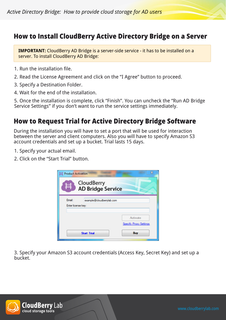## **How to Install CloudBerry Active Directory Bridge on a Server**

**IMPORTANT:** CloudBerry AD Bridge is a server-side service - it has to be installed on a server. To install CloudBerry AD Bridge:

- 1. Run the installation file.
- 2. Read the License Agreement and click on the "I Agree" button to proceed.
- 3. Specify a Destination Folder.
- 4. Wait for the end of the installation.

5. Once the installation is complete, click "Finish". You can uncheck the "Run AD Bridge Service Settings" if you don't want to run the service settings immediately.

## **How to Request Trial for Active Directory Bridge Software**

During the installation you will have to set a port that will be used for interaction between the server and client computers. Also you will have to specify Amazon S3 account credentials and set up a bucket. Trial lasts 15 days.

- 1. Specify your actual email.
- 2. Click on the "Start Trial" button.



3. Specify your Amazon S3 account credentials (Access Key, Secret Key) and set up a bucket.



**CloudBerry Lab** cloud storage tools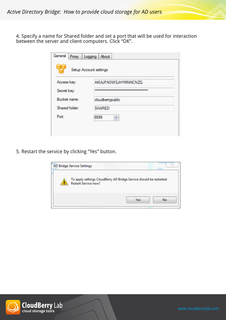4. Specify a name for Shared folder and set a port that will be used for interaction between the server and client computers. Click "OK".

| General        | Proxy   Logging   About     |
|----------------|-----------------------------|
|                | Setup Account settings      |
| Access key:    | <b>AKIAJPAOWSJHYMNNCNZQ</b> |
| Secret key:    |                             |
| Bucket name:   | cloudbenypublic             |
| Shared folder: | <b>SHARED</b>               |
| Port:          | 싂<br>8899                   |
|                |                             |
|                |                             |

5. Restart the service by clicking "Yes" button.

| To apply settings CloudBerry AD Bridge Service should be restarted.<br><b>Restart Service now?</b> |  |
|----------------------------------------------------------------------------------------------------|--|
|                                                                                                    |  |

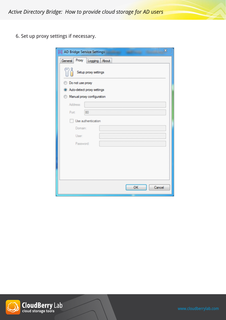*Active Directory Bridge: How to provide cloud storage for AD users*

6. Set up proxy settings if necessary.

| $\mathbf{z}$<br>AD Bridge Service Settings |  |  |  |  |
|--------------------------------------------|--|--|--|--|
| General Proxy Logging About                |  |  |  |  |
| Setup proxy settings                       |  |  |  |  |
| <b>Do not use proxy</b>                    |  |  |  |  |
| Auto-detect proxy settings                 |  |  |  |  |
| Manual proxy configuration                 |  |  |  |  |
| Address:                                   |  |  |  |  |
| 80<br>Port:                                |  |  |  |  |
| Use authentication                         |  |  |  |  |
| Domain:                                    |  |  |  |  |
| User:                                      |  |  |  |  |
| Password:                                  |  |  |  |  |
|                                            |  |  |  |  |
|                                            |  |  |  |  |
|                                            |  |  |  |  |
|                                            |  |  |  |  |
|                                            |  |  |  |  |
| OK<br>Cancel                               |  |  |  |  |
|                                            |  |  |  |  |

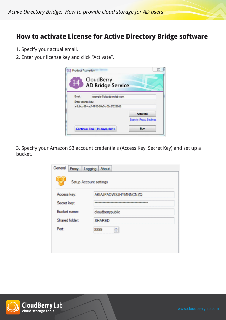## **How to activate License for Active Directory Bridge software**

- 1. Specify your actual email.
- 2. Enter your license key and click "Activate".



3. Specify your Amazon S3 account credentials (Access Key, Secret Key) and set up a bucket.

| Proxy Logging About         |
|-----------------------------|
| Setup Account settings      |
| <b>AKIAJPAOWSJHYMNNCNZQ</b> |
|                             |
| cloudbenypublic             |
| <b>SHARED</b>               |
| 싂<br>8899                   |
|                             |
|                             |
|                             |

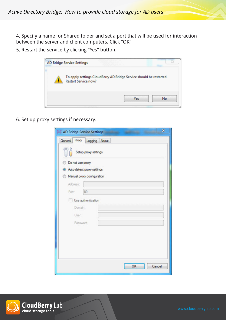4. Specify a name for Shared folder and set a port that will be used for interaction between the server and client computers. Click "OK".

5. Restart the service by clicking "Yes" button.

| <b>AD Bridge Service Settings</b>                                                                  |    |
|----------------------------------------------------------------------------------------------------|----|
| To apply settings CloudBerry AD Bridge Service should be restarted.<br><b>Restart Service now?</b> |    |
| Yes                                                                                                | No |

6. Set up proxy settings if necessary.

| General Proxy<br>Logging About |  |  |  |  |
|--------------------------------|--|--|--|--|
|                                |  |  |  |  |
| Setup proxy settings           |  |  |  |  |
| Do not use proxy               |  |  |  |  |
| Auto-detect proxy settings     |  |  |  |  |
| Manual proxy configuration     |  |  |  |  |
| Address:                       |  |  |  |  |
| 80<br>Port:                    |  |  |  |  |
| Use authentication             |  |  |  |  |
| Domain:                        |  |  |  |  |
| User:                          |  |  |  |  |
| Password:                      |  |  |  |  |
|                                |  |  |  |  |
|                                |  |  |  |  |
|                                |  |  |  |  |
|                                |  |  |  |  |
|                                |  |  |  |  |
| OK<br>Cancel                   |  |  |  |  |

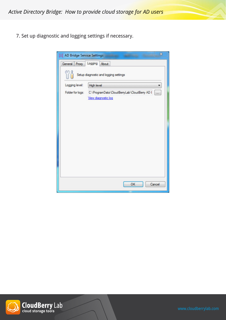*Active Directory Bridge: How to provide cloud storage for AD users*

7. Set up diagnostic and logging settings if necessary.



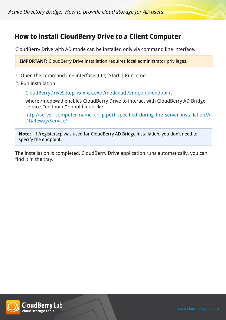# **How to install CloudBerry Drive to a Client Computer**

CloudBerry Drive with AD mode can be installed only via command line interface.

**IMPORTANT:** CloudBerry Drive installation requires local administrator privileges.

- 1. Open the command line interface (CLI): Start | Run: cmd
- 2. Run installation:

CloudBerryDriveSetup\_vx.x.x.x.exe /mode=ad /endpoint=endpoint

where /mode=ad enables CloudBerry Drive to interact with CloudBerry AD Bridge service, "endpoint" should look like

http://server\_computer\_name\_or\_ip:port\_specified\_during\_the\_server\_installation/A DGateway/Service/

**Note:** if /registerscp was used for CloudBerry AD Bridge installation, you don't need to specify the endpoint.

The installation is completed. CloudBerry Drive application runs automatically, you can find it in the tray.

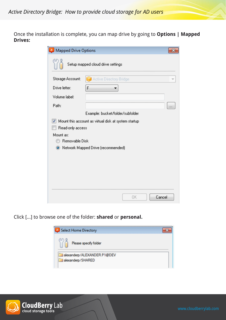Once the installation is complete, you can map drive by going to **Options | Mapped Drives:**

| Mapped Drive Options                                 |                                                      |  |  |  |
|------------------------------------------------------|------------------------------------------------------|--|--|--|
|                                                      | Setup mapped cloud drive settings                    |  |  |  |
| Storage Account:                                     | Active Directory Bridge                              |  |  |  |
| Drive letter:                                        | F                                                    |  |  |  |
| Volume label:                                        |                                                      |  |  |  |
| Path:                                                |                                                      |  |  |  |
|                                                      | Example: bucket/folder/subfolder                     |  |  |  |
| $\blacktriangledown$                                 | Mount this account as virtual disk at system startup |  |  |  |
| Read-only access                                     |                                                      |  |  |  |
| Mount as:                                            |                                                      |  |  |  |
| Removable Disk                                       |                                                      |  |  |  |
| Network Mapped Drive (recommended)<br>$\circledcirc$ |                                                      |  |  |  |
|                                                      |                                                      |  |  |  |
|                                                      |                                                      |  |  |  |
|                                                      |                                                      |  |  |  |
|                                                      |                                                      |  |  |  |
|                                                      |                                                      |  |  |  |
|                                                      | Cancel<br>OK                                         |  |  |  |

Click [...] to browse one of the folder: **shared** or **personal.**



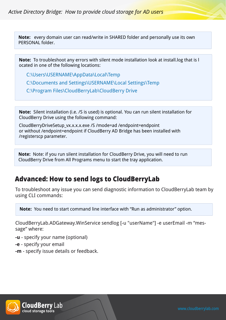**Note:** every domain user can read/write in SHARED folder and personally use its own PERSONAL folder.

**Note:** To troubleshoot any errors with silent mode installation look at install.log that is l ocated in one of the following locations:

C:\Users\USERNAME\AppData\Local\Temp

C:\Documents and Settings\USERNAME\Local Settings\Temp

C:\Program Files\CloudBerryLab\CloudBerry Drive

**Note:** Silent installation (i.e. /S is used) is optional. You can run silent installation for CloudBerry Drive using the following command:

CloudBerryDriveSetup\_vx.x.x.x.exe /S /mode=ad /endpoint=endpoint or without /endpoint=endpoint if CloudBerry AD Bridge has been installed with /registerscp parameter.

**Note:** Note: if you run silent installation for CloudBerry Drive, you will need to run CloudBerry Drive from All Programs menu to start the tray application.

# **Advanced: How to send logs to CloudBerryLab**

To troubleshoot any issue you can send diagnostic information to CloudBerryLab team by using CLI commands:

**Note:** You need to start command line interface with "Run as administrator" option.

CloudBerryLab.ADGateway.WinService sendlog [-u "userName"] -e userEmail -m "message" where:

**-u** - specify your name (optional)

**-e** - specify your email

**-m** - specify issue details or feedback.